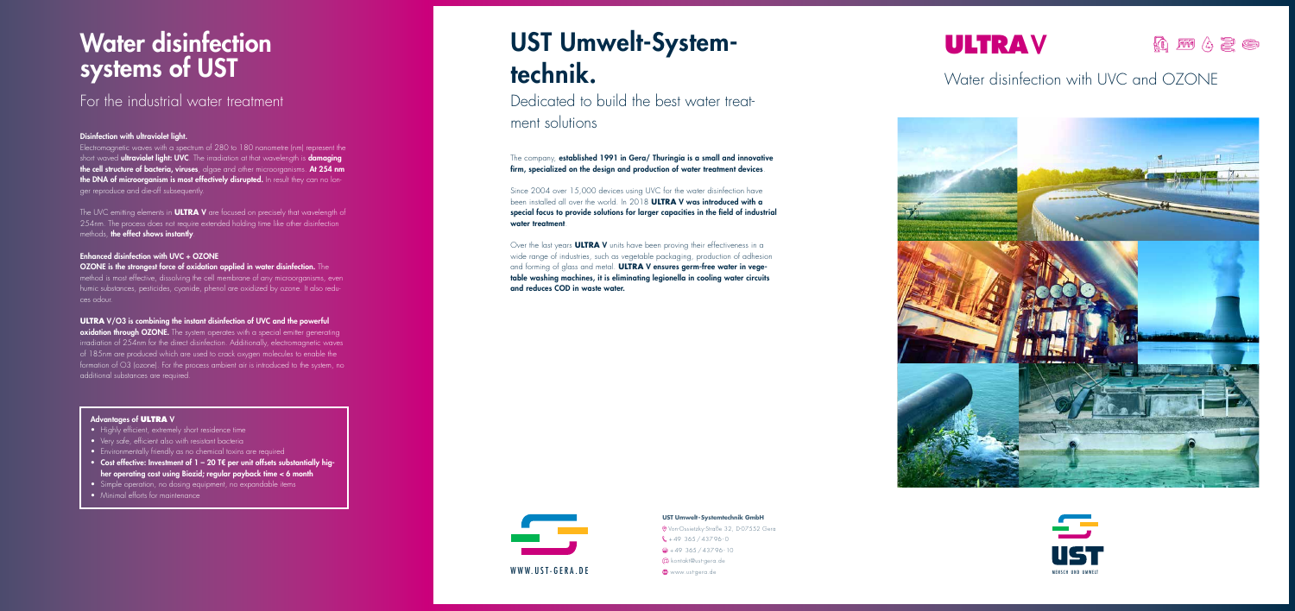

# UST Umwelt-Systemtechnik.

Dedicated to build the best water treatment solutions

The company, established 1991 in Gera/ Thuringia is a small and innovative firm, specialized on the design and production of water treatment devices.

Since 2004 over 15,000 devices using UVC for the water disinfection have been installed all over the world. In 2018 **ULTRA** V was introduced with a special focus to provide solutions for larger capacities in the field of industrial water treatment.

## Water disinfection systems of UST

The UVC emitting elements in **ULTRA** V are focused on precisely that wavelength of 254nm. The process does not require extended holding time like other disinfection methods, the effect shows instantly.

> Over the last years **ULTRA** V units have been proving their effectiveness in a wide range of industries, such as vegetable packaging, production of adhesion and forming of glass and metal. **ULTRA** V ensures germ-free water in vegetable washing machines, it is eliminating legionella in cooling water circuits and reduces COD in waste water.

### For the industrial water treatment

#### Disinfection with ultraviolet light.

oxidation through OZONE. The system operates with a special emitter generating irradiation of 254nm for the direct disinfection. Additionally, electromagnetic waves of 185nm are produced which are used to crack oxygen molecules to enable the formation of O3 (ozone). For the process ambient air is introduced to the system, no additional substances are required.

Electromagnetic waves with a spectrum of 280 to 180 nanometre (nm) represent the short waved **ultraviolet light: UVC**. The irradiation at that wavelength is **damaging** the cell structure of bacteria, viruses, algae and other microorganisms. At 254 nm the DNA of microorganism is most effectively disrupted. In result they can no longer reproduce and die-off subsequently.

### Enhanced disinfection with UVC + OZONE

OZONE is the strongest force of oxidation applied in water disinfection. The method is most effective, dissolving the cell membrane of any microorganisms, even humic substances, pesticides, cyanide, phenol are oxidized by ozone. It also reduces odour.

### **ULTRA** V/O3 is combining the instant disinfection of UVC and the powerful

### Advantages of **ULTRA** V

- Highly efficient, extremely short residence time
- Very safe, efficient also with resistant bacteria
- Environmentally friendly as no chemical toxins are required
- Cost effective: Investment of 1 20 T€ per unit offsets substantially higher operating cost using Biozid; regular payback time < 6 month
- Simple operation, no dosing equipment, no expandable items
- Minimal efforts for maintenance

## **ULTRA**V

### Q M 4 2 6

### Water disinfection with UVC and OZONE







#### **UST Umwelt-Systemtechnik GmbH**

Von-Ossietzky-Straße 32, D-07552 Gera  $\frac{1}{2}$  + 49 365 / 437 96 - 0  $\bigoplus$  + 49 365 / 437 96 - 10 kontakt@ust-gera.de